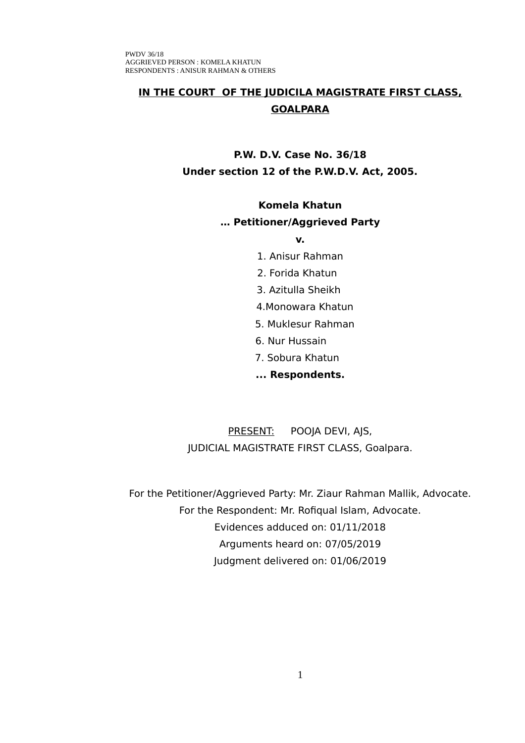# **IN THE COURT OF THE JUDICILA MAGISTRATE FIRST CLASS, GOALPARA**

# **P.W. D.V. Case No. 36/18 Under section 12 of the P.W.D.V. Act, 2005.**

### **Komela Khatun**

### **… Petitioner/Aggrieved Party**

#### **v.**

- 1. Anisur Rahman
- 2. Forida Khatun
- 3. Azitulla Sheikh
- 4.Monowara Khatun
- 5. Muklesur Rahman
- 6. Nur Hussain
- 7. Sobura Khatun
- **... Respondents.**

PRESENT: POOJA DEVI, AJS, JUDICIAL MAGISTRATE FIRST CLASS, Goalpara.

For the Petitioner/Aggrieved Party: Mr. Ziaur Rahman Mallik, Advocate. For the Respondent: Mr. Rofiqual Islam, Advocate. Evidences adduced on: 01/11/2018 Arguments heard on: 07/05/2019 Judgment delivered on: 01/06/2019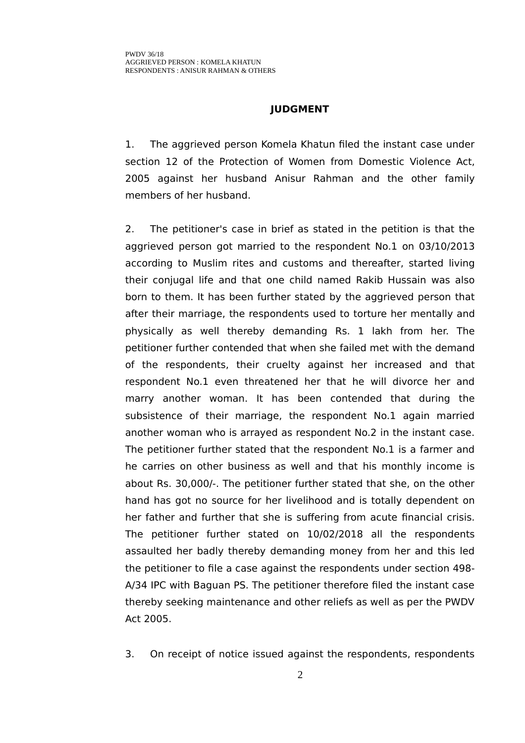### **JUDGMENT**

1. The aggrieved person Komela Khatun filed the instant case under section 12 of the Protection of Women from Domestic Violence Act, 2005 against her husband Anisur Rahman and the other family members of her husband.

2. The petitioner's case in brief as stated in the petition is that the aggrieved person got married to the respondent No.1 on 03/10/2013 according to Muslim rites and customs and thereafter, started living their conjugal life and that one child named Rakib Hussain was also born to them. It has been further stated by the aggrieved person that after their marriage, the respondents used to torture her mentally and physically as well thereby demanding Rs. 1 lakh from her. The petitioner further contended that when she failed met with the demand of the respondents, their cruelty against her increased and that respondent No.1 even threatened her that he will divorce her and marry another woman. It has been contended that during the subsistence of their marriage, the respondent No.1 again married another woman who is arrayed as respondent No.2 in the instant case. The petitioner further stated that the respondent No.1 is a farmer and he carries on other business as well and that his monthly income is about Rs. 30,000/-. The petitioner further stated that she, on the other hand has got no source for her livelihood and is totally dependent on her father and further that she is suffering from acute financial crisis. The petitioner further stated on 10/02/2018 all the respondents assaulted her badly thereby demanding money from her and this led the petitioner to file a case against the respondents under section 498- A/34 IPC with Baguan PS. The petitioner therefore filed the instant case thereby seeking maintenance and other reliefs as well as per the PWDV Act 2005.

3. On receipt of notice issued against the respondents, respondents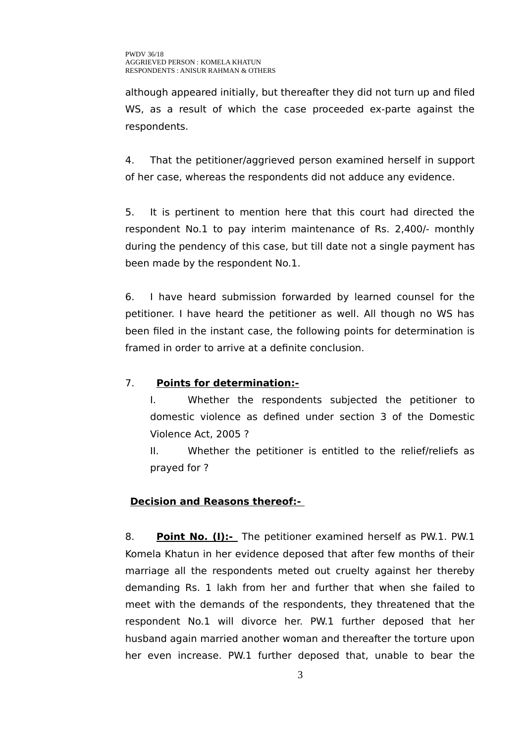although appeared initially, but thereafter they did not turn up and filed WS, as a result of which the case proceeded ex-parte against the respondents.

4. That the petitioner/aggrieved person examined herself in support of her case, whereas the respondents did not adduce any evidence.

5. It is pertinent to mention here that this court had directed the respondent No.1 to pay interim maintenance of Rs. 2,400/- monthly during the pendency of this case, but till date not a single payment has been made by the respondent No.1.

6. I have heard submission forwarded by learned counsel for the petitioner. I have heard the petitioner as well. All though no WS has been filed in the instant case, the following points for determination is framed in order to arrive at a definite conclusion.

## 7. **Points for determination:-**

I. Whether the respondents subjected the petitioner to domestic violence as defined under section 3 of the Domestic Violence Act, 2005 ?

II. Whether the petitioner is entitled to the relief/reliefs as prayed for ?

## **Decision and Reasons thereof:-**

8. **Point No. (I):-** The petitioner examined herself as PW.1. PW.1 Komela Khatun in her evidence deposed that after few months of their marriage all the respondents meted out cruelty against her thereby demanding Rs. 1 lakh from her and further that when she failed to meet with the demands of the respondents, they threatened that the respondent No.1 will divorce her. PW.1 further deposed that her husband again married another woman and thereafter the torture upon her even increase. PW.1 further deposed that, unable to bear the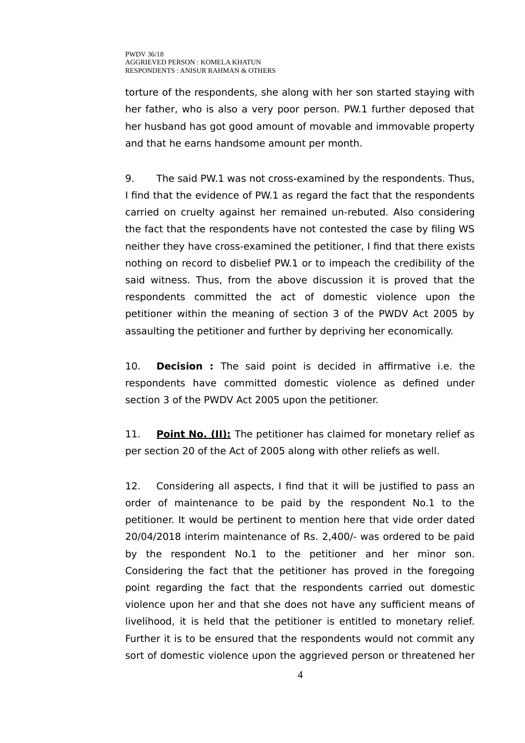torture of the respondents, she along with her son started staying with her father, who is also a very poor person. PW.1 further deposed that her husband has got good amount of movable and immovable property and that he earns handsome amount per month.

9. The said PW.1 was not cross-examined by the respondents. Thus, I find that the evidence of PW.1 as regard the fact that the respondents carried on cruelty against her remained un-rebuted. Also considering the fact that the respondents have not contested the case by filing WS neither they have cross-examined the petitioner, I find that there exists nothing on record to disbelief PW.1 or to impeach the credibility of the said witness. Thus, from the above discussion it is proved that the respondents committed the act of domestic violence upon the petitioner within the meaning of section 3 of the PWDV Act 2005 by assaulting the petitioner and further by depriving her economically.

10. **Decision :** The said point is decided in affirmative i.e. the respondents have committed domestic violence as defined under section 3 of the PWDV Act 2005 upon the petitioner.

11. **Point No. (II):** The petitioner has claimed for monetary relief as per section 20 of the Act of 2005 along with other reliefs as well.

12. Considering all aspects, I find that it will be justified to pass an order of maintenance to be paid by the respondent No.1 to the petitioner. It would be pertinent to mention here that vide order dated 20/04/2018 interim maintenance of Rs. 2,400/- was ordered to be paid by the respondent No.1 to the petitioner and her minor son. Considering the fact that the petitioner has proved in the foregoing point regarding the fact that the respondents carried out domestic violence upon her and that she does not have any sufficient means of livelihood, it is held that the petitioner is entitled to monetary relief. Further it is to be ensured that the respondents would not commit any sort of domestic violence upon the aggrieved person or threatened her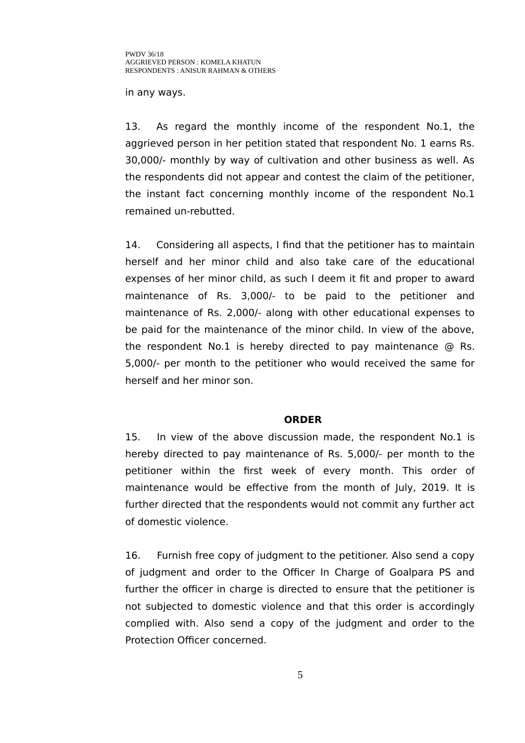in any ways.

13. As regard the monthly income of the respondent No.1, the aggrieved person in her petition stated that respondent No. 1 earns Rs. 30,000/- monthly by way of cultivation and other business as well. As the respondents did not appear and contest the claim of the petitioner, the instant fact concerning monthly income of the respondent No.1 remained un-rebutted.

14. Considering all aspects, I find that the petitioner has to maintain herself and her minor child and also take care of the educational expenses of her minor child, as such I deem it fit and proper to award maintenance of Rs. 3,000/- to be paid to the petitioner and maintenance of Rs. 2,000/- along with other educational expenses to be paid for the maintenance of the minor child. In view of the above, the respondent No.1 is hereby directed to pay maintenance @ Rs. 5,000/- per month to the petitioner who would received the same for herself and her minor son.

#### **ORDER**

15. In view of the above discussion made, the respondent No.1 is hereby directed to pay maintenance of Rs. 5,000/- per month to the petitioner within the first week of every month. This order of maintenance would be effective from the month of July, 2019. It is further directed that the respondents would not commit any further act of domestic violence.

16. Furnish free copy of judgment to the petitioner. Also send a copy of judgment and order to the Officer In Charge of Goalpara PS and further the officer in charge is directed to ensure that the petitioner is not subjected to domestic violence and that this order is accordingly complied with. Also send a copy of the judgment and order to the Protection Officer concerned.